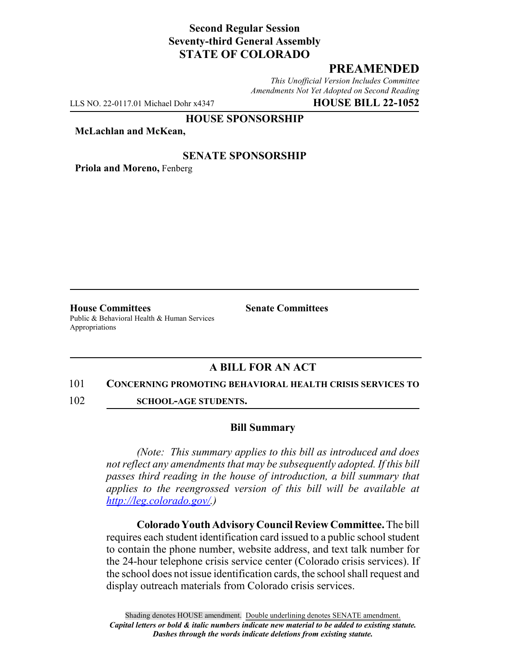# **Second Regular Session Seventy-third General Assembly STATE OF COLORADO**

# **PREAMENDED**

*This Unofficial Version Includes Committee Amendments Not Yet Adopted on Second Reading*

LLS NO. 22-0117.01 Michael Dohr x4347 **HOUSE BILL 22-1052**

#### **HOUSE SPONSORSHIP**

**McLachlan and McKean,**

### **SENATE SPONSORSHIP**

**Priola and Moreno,** Fenberg

**House Committees Senate Committees** Public & Behavioral Health & Human Services Appropriations

## **A BILL FOR AN ACT**

#### 101 **CONCERNING PROMOTING BEHAVIORAL HEALTH CRISIS SERVICES TO**

102 **SCHOOL-AGE STUDENTS.**

### **Bill Summary**

*(Note: This summary applies to this bill as introduced and does not reflect any amendments that may be subsequently adopted. If this bill passes third reading in the house of introduction, a bill summary that applies to the reengrossed version of this bill will be available at http://leg.colorado.gov/.)*

**Colorado Youth Advisory Council Review Committee.** The bill requires each student identification card issued to a public school student to contain the phone number, website address, and text talk number for the 24-hour telephone crisis service center (Colorado crisis services). If the school does not issue identification cards, the school shall request and display outreach materials from Colorado crisis services.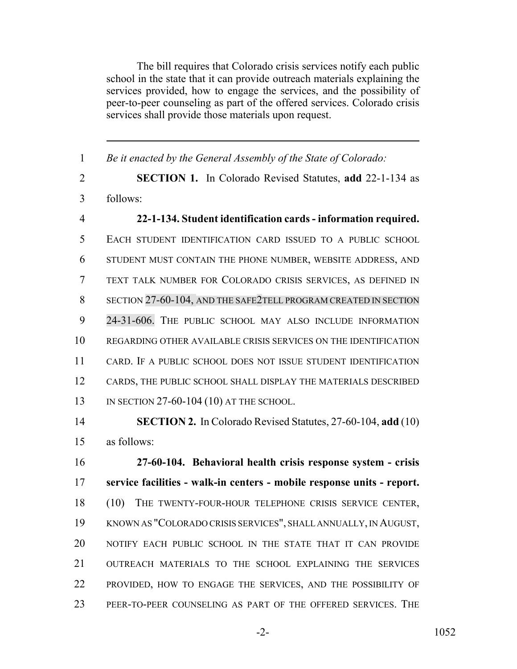The bill requires that Colorado crisis services notify each public school in the state that it can provide outreach materials explaining the services provided, how to engage the services, and the possibility of peer-to-peer counseling as part of the offered services. Colorado crisis services shall provide those materials upon request.

 *Be it enacted by the General Assembly of the State of Colorado:* **SECTION 1.** In Colorado Revised Statutes, **add** 22-1-134 as follows: **22-1-134. Student identification cards - information required.** EACH STUDENT IDENTIFICATION CARD ISSUED TO A PUBLIC SCHOOL STUDENT MUST CONTAIN THE PHONE NUMBER, WEBSITE ADDRESS, AND TEXT TALK NUMBER FOR COLORADO CRISIS SERVICES, AS DEFINED IN SECTION 27-60-104, AND THE SAFE2TELL PROGRAM CREATED IN SECTION 24-31-606. THE PUBLIC SCHOOL MAY ALSO INCLUDE INFORMATION REGARDING OTHER AVAILABLE CRISIS SERVICES ON THE IDENTIFICATION CARD. IF A PUBLIC SCHOOL DOES NOT ISSUE STUDENT IDENTIFICATION CARDS, THE PUBLIC SCHOOL SHALL DISPLAY THE MATERIALS DESCRIBED IN SECTION 27-60-104 (10) AT THE SCHOOL.

 **SECTION 2.** In Colorado Revised Statutes, 27-60-104, **add** (10) as follows:

 **27-60-104. Behavioral health crisis response system - crisis service facilities - walk-in centers - mobile response units - report.** (10) THE TWENTY-FOUR-HOUR TELEPHONE CRISIS SERVICE CENTER, KNOWN AS "COLORADO CRISIS SERVICES", SHALL ANNUALLY, IN AUGUST, NOTIFY EACH PUBLIC SCHOOL IN THE STATE THAT IT CAN PROVIDE OUTREACH MATERIALS TO THE SCHOOL EXPLAINING THE SERVICES PROVIDED, HOW TO ENGAGE THE SERVICES, AND THE POSSIBILITY OF PEER-TO-PEER COUNSELING AS PART OF THE OFFERED SERVICES. THE